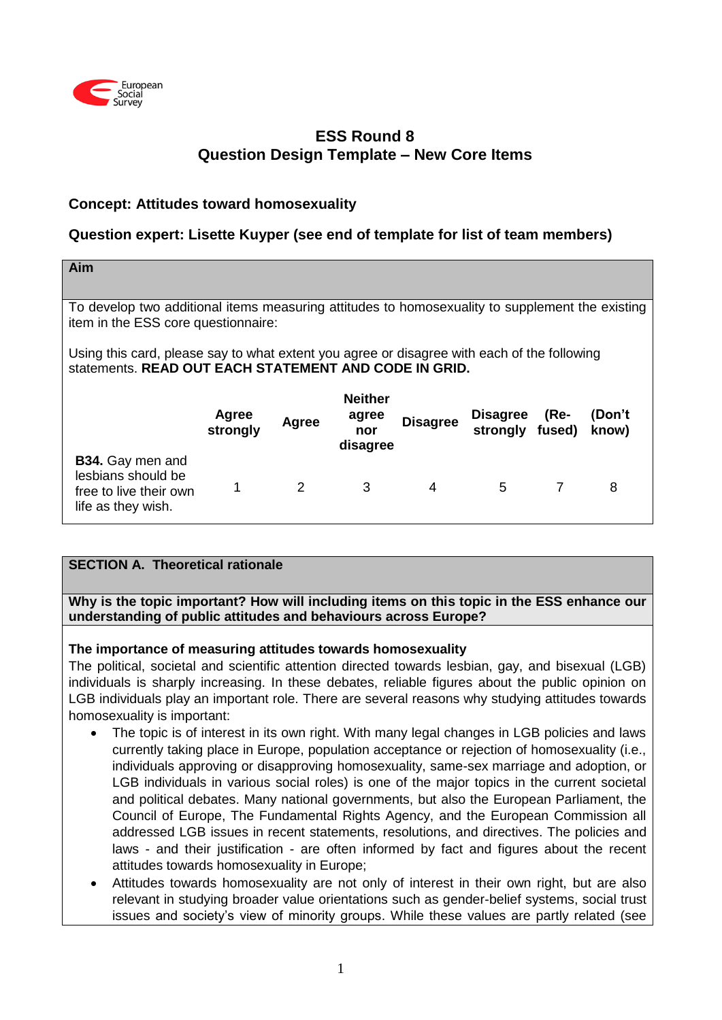

# **ESS Round 8 Question Design Template – New Core Items**

## **Concept: Attitudes toward homosexuality**

## **Question expert: Lisette Kuyper (see end of template for list of team members)**

| Aim                                                                                                                                                  |                   |       |                                            |                 |                                    |        |                 |
|------------------------------------------------------------------------------------------------------------------------------------------------------|-------------------|-------|--------------------------------------------|-----------------|------------------------------------|--------|-----------------|
|                                                                                                                                                      |                   |       |                                            |                 |                                    |        |                 |
| To develop two additional items measuring attitudes to homosexuality to supplement the existing<br>item in the ESS core questionnaire:               |                   |       |                                            |                 |                                    |        |                 |
| Using this card, please say to what extent you agree or disagree with each of the following<br>statements. READ OUT EACH STATEMENT AND CODE IN GRID. |                   |       |                                            |                 |                                    |        |                 |
|                                                                                                                                                      | Agree<br>strongly | Agree | <b>Neither</b><br>agree<br>nor<br>disagree | <b>Disagree</b> | <b>Disagree</b><br>strongly fused) | $(Re-$ | (Don't<br>know) |
| <b>B34.</b> Gay men and<br>lesbians should be<br>free to live their own<br>life as they wish.                                                        |                   | 2     | 3                                          | 4               | 5                                  | 7      | 8               |

# **SECTION A. Theoretical rationale**

**Why is the topic important? How will including items on this topic in the ESS enhance our understanding of public attitudes and behaviours across Europe?**

### **The importance of measuring attitudes towards homosexuality**

The political, societal and scientific attention directed towards lesbian, gay, and bisexual (LGB) individuals is sharply increasing. In these debates, reliable figures about the public opinion on LGB individuals play an important role. There are several reasons why studying attitudes towards homosexuality is important:

- The topic is of interest in its own right. With many legal changes in LGB policies and laws currently taking place in Europe, population acceptance or rejection of homosexuality (i.e., individuals approving or disapproving homosexuality, same-sex marriage and adoption, or LGB individuals in various social roles) is one of the major topics in the current societal and political debates. Many national governments, but also the European Parliament, the Council of Europe, The Fundamental Rights Agency, and the European Commission all addressed LGB issues in recent statements, resolutions, and directives. The policies and laws - and their justification - are often informed by fact and figures about the recent attitudes towards homosexuality in Europe;
- Attitudes towards homosexuality are not only of interest in their own right, but are also relevant in studying broader value orientations such as gender-belief systems, social trust issues and society's view of minority groups. While these values are partly related (see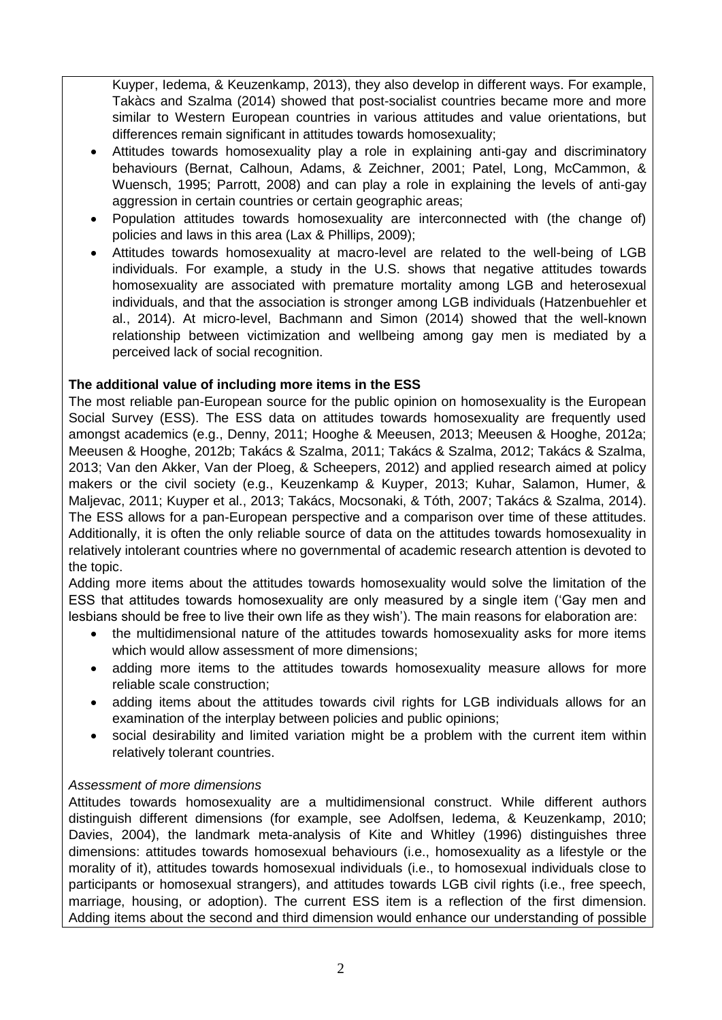Kuyper, Iedema, & Keuzenkamp, 2013), they also develop in different ways. For example, Takàcs and Szalma (2014) showed that post-socialist countries became more and more similar to Western European countries in various attitudes and value orientations, but differences remain significant in attitudes towards homosexuality;

- Attitudes towards homosexuality play a role in explaining anti-gay and discriminatory behaviours (Bernat, Calhoun, Adams, & Zeichner, 2001; Patel, Long, McCammon, & Wuensch, 1995; Parrott, 2008) and can play a role in explaining the levels of anti-gay aggression in certain countries or certain geographic areas;
- Population attitudes towards homosexuality are interconnected with (the change of) policies and laws in this area (Lax & Phillips, 2009);
- Attitudes towards homosexuality at macro-level are related to the well-being of LGB individuals. For example, a study in the U.S. shows that negative attitudes towards homosexuality are associated with premature mortality among LGB and heterosexual individuals, and that the association is stronger among LGB individuals (Hatzenbuehler et al., 2014). At micro-level, Bachmann and Simon (2014) showed that the well-known relationship between victimization and wellbeing among gay men is mediated by a perceived lack of social recognition.

## **The additional value of including more items in the ESS**

The most reliable pan-European source for the public opinion on homosexuality is the European Social Survey (ESS). The ESS data on attitudes towards homosexuality are frequently used amongst academics (e.g., Denny, 2011; Hooghe & Meeusen, 2013; Meeusen & Hooghe, 2012a; Meeusen & Hooghe, 2012b; Takács & Szalma, 2011; Takács & Szalma, 2012; Takács & Szalma, 2013; Van den Akker, Van der Ploeg, & Scheepers, 2012) and applied research aimed at policy makers or the civil society (e.g., Keuzenkamp & Kuyper, 2013; Kuhar, Salamon, Humer, & Maljevac, 2011; Kuyper et al., 2013; Takács, Mocsonaki, & Tóth, 2007; Takács & Szalma, 2014). The ESS allows for a pan-European perspective and a comparison over time of these attitudes. Additionally, it is often the only reliable source of data on the attitudes towards homosexuality in relatively intolerant countries where no governmental of academic research attention is devoted to the topic.

Adding more items about the attitudes towards homosexuality would solve the limitation of the ESS that attitudes towards homosexuality are only measured by a single item ('Gay men and lesbians should be free to live their own life as they wish'). The main reasons for elaboration are:

- the multidimensional nature of the attitudes towards homosexuality asks for more items which would allow assessment of more dimensions;
- adding more items to the attitudes towards homosexuality measure allows for more reliable scale construction;
- adding items about the attitudes towards civil rights for LGB individuals allows for an examination of the interplay between policies and public opinions;
- social desirability and limited variation might be a problem with the current item within relatively tolerant countries.

## *Assessment of more dimensions*

Attitudes towards homosexuality are a multidimensional construct. While different authors distinguish different dimensions (for example, see Adolfsen, Iedema, & Keuzenkamp, 2010; Davies, 2004), the landmark meta-analysis of Kite and Whitley (1996) distinguishes three dimensions: attitudes towards homosexual behaviours (i.e., homosexuality as a lifestyle or the morality of it), attitudes towards homosexual individuals (i.e., to homosexual individuals close to participants or homosexual strangers), and attitudes towards LGB civil rights (i.e., free speech, marriage, housing, or adoption). The current ESS item is a reflection of the first dimension. Adding items about the second and third dimension would enhance our understanding of possible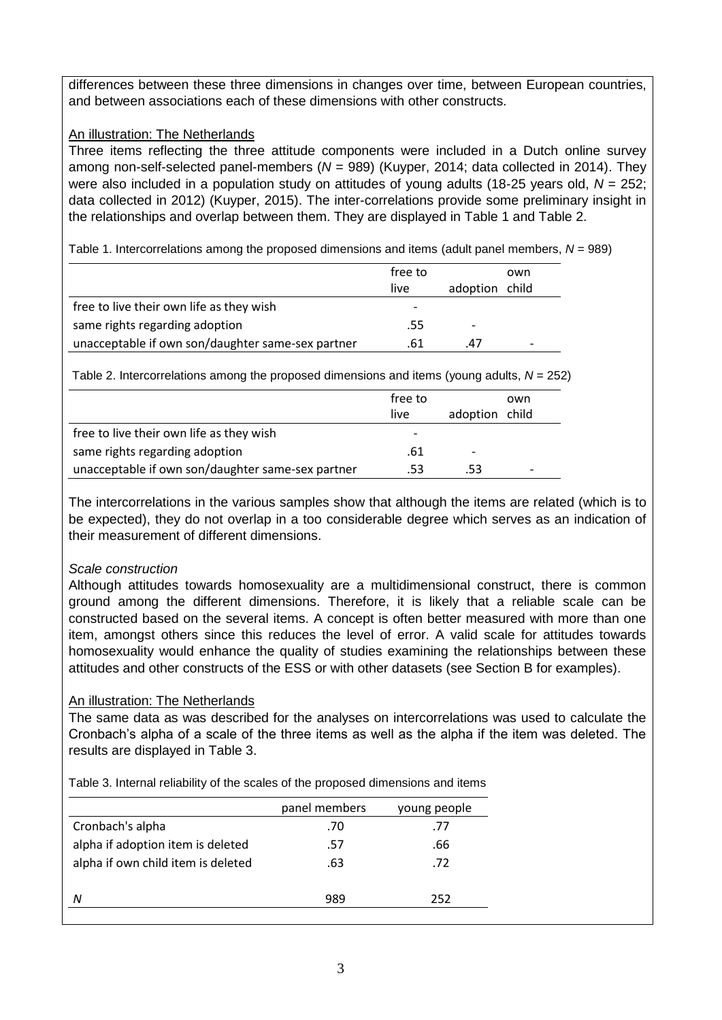differences between these three dimensions in changes over time, between European countries, and between associations each of these dimensions with other constructs.

## An illustration: The Netherlands

Three items reflecting the three attitude components were included in a Dutch online survey among non-self-selected panel-members (*N* = 989) (Kuyper, 2014; data collected in 2014). They were also included in a population study on attitudes of young adults (18-25 years old, *N* = 252; data collected in 2012) (Kuyper, 2015). The inter-correlations provide some preliminary insight in the relationships and overlap between them. They are displayed in Table 1 and Table 2.

Table 1. Intercorrelations among the proposed dimensions and items (adult panel members,  $N = 989$ )

|                                                   | free to<br>live          | adoption                 | own<br>child |
|---------------------------------------------------|--------------------------|--------------------------|--------------|
| free to live their own life as they wish          | $\overline{\phantom{a}}$ |                          |              |
| same rights regarding adoption                    | .55                      | $\overline{\phantom{0}}$ |              |
| unacceptable if own son/daughter same-sex partner | .61                      | 47                       |              |

Table 2. Intercorrelations among the proposed dimensions and items (young adults, *N* = 252)

|                                                   | free to<br>live          | adoption                 | own<br>child             |
|---------------------------------------------------|--------------------------|--------------------------|--------------------------|
| free to live their own life as they wish          | $\overline{\phantom{0}}$ |                          |                          |
| same rights regarding adoption                    | .61                      | $\overline{\phantom{0}}$ |                          |
| unacceptable if own son/daughter same-sex partner | .53                      | .53                      | $\overline{\phantom{0}}$ |

The intercorrelations in the various samples show that although the items are related (which is to be expected), they do not overlap in a too considerable degree which serves as an indication of their measurement of different dimensions.

## *Scale construction*

Although attitudes towards homosexuality are a multidimensional construct, there is common ground among the different dimensions. Therefore, it is likely that a reliable scale can be constructed based on the several items. A concept is often better measured with more than one item, amongst others since this reduces the level of error. A valid scale for attitudes towards homosexuality would enhance the quality of studies examining the relationships between these attitudes and other constructs of the ESS or with other datasets (see Section B for examples).

## An illustration: The Netherlands

The same data as was described for the analyses on intercorrelations was used to calculate the Cronbach's alpha of a scale of the three items as well as the alpha if the item was deleted. The results are displayed in Table 3.

Table 3. Internal reliability of the scales of the proposed dimensions and items

|                                    | panel members | young people |  |
|------------------------------------|---------------|--------------|--|
| Cronbach's alpha                   | .70           | .77          |  |
| alpha if adoption item is deleted  | .57           | .66          |  |
| alpha if own child item is deleted | .63           | .72          |  |
|                                    |               |              |  |
| Ν                                  | 989           | 252          |  |
|                                    |               |              |  |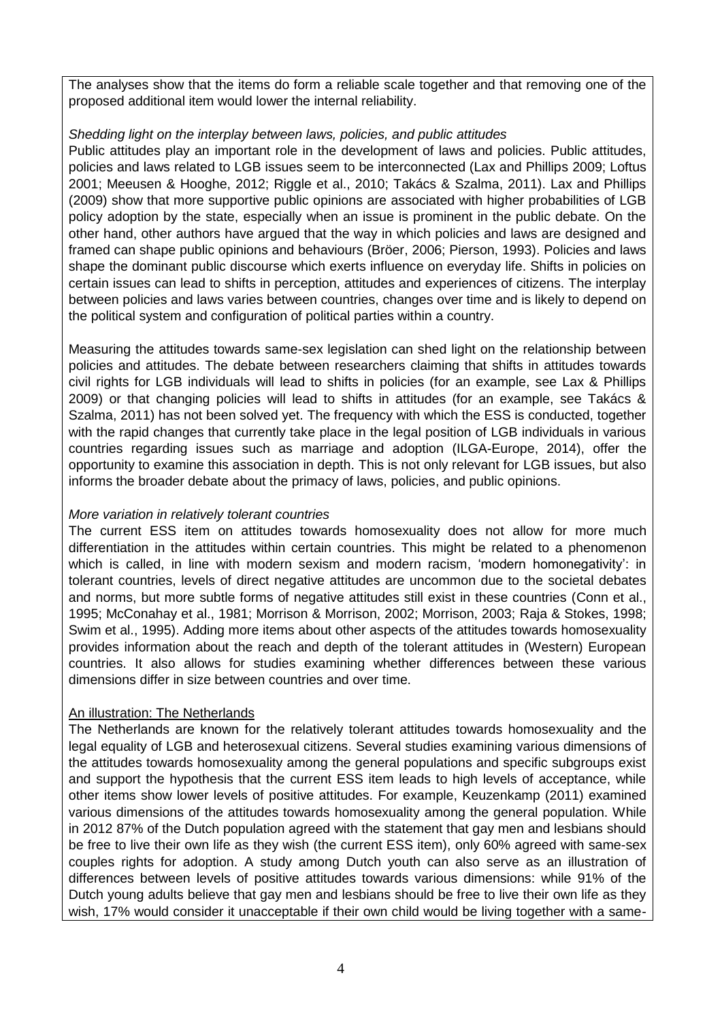The analyses show that the items do form a reliable scale together and that removing one of the proposed additional item would lower the internal reliability.

### *Shedding light on the interplay between laws, policies, and public attitudes*

Public attitudes play an important role in the development of laws and policies. Public attitudes, policies and laws related to LGB issues seem to be interconnected (Lax and Phillips 2009; Loftus 2001; Meeusen & Hooghe, 2012; Riggle et al., 2010; Takács & Szalma, 2011). Lax and Phillips (2009) show that more supportive public opinions are associated with higher probabilities of LGB policy adoption by the state, especially when an issue is prominent in the public debate. On the other hand, other authors have argued that the way in which policies and laws are designed and framed can shape public opinions and behaviours (Bröer, 2006; Pierson, 1993). Policies and laws shape the dominant public discourse which exerts influence on everyday life. Shifts in policies on certain issues can lead to shifts in perception, attitudes and experiences of citizens. The interplay between policies and laws varies between countries, changes over time and is likely to depend on the political system and configuration of political parties within a country.

Measuring the attitudes towards same-sex legislation can shed light on the relationship between policies and attitudes. The debate between researchers claiming that shifts in attitudes towards civil rights for LGB individuals will lead to shifts in policies (for an example, see Lax & Phillips 2009) or that changing policies will lead to shifts in attitudes (for an example, see Takács & Szalma, 2011) has not been solved yet. The frequency with which the ESS is conducted, together with the rapid changes that currently take place in the legal position of LGB individuals in various countries regarding issues such as marriage and adoption (ILGA-Europe, 2014), offer the opportunity to examine this association in depth. This is not only relevant for LGB issues, but also informs the broader debate about the primacy of laws, policies, and public opinions.

### *More variation in relatively tolerant countries*

The current ESS item on attitudes towards homosexuality does not allow for more much differentiation in the attitudes within certain countries. This might be related to a phenomenon which is called, in line with modern sexism and modern racism, 'modern homonegativity': in tolerant countries, levels of direct negative attitudes are uncommon due to the societal debates and norms, but more subtle forms of negative attitudes still exist in these countries (Conn et al., 1995; McConahay et al., 1981; Morrison & Morrison, 2002; Morrison, 2003; Raja & Stokes, 1998; Swim et al., 1995). Adding more items about other aspects of the attitudes towards homosexuality provides information about the reach and depth of the tolerant attitudes in (Western) European countries. It also allows for studies examining whether differences between these various dimensions differ in size between countries and over time.

### An illustration: The Netherlands

The Netherlands are known for the relatively tolerant attitudes towards homosexuality and the legal equality of LGB and heterosexual citizens. Several studies examining various dimensions of the attitudes towards homosexuality among the general populations and specific subgroups exist and support the hypothesis that the current ESS item leads to high levels of acceptance, while other items show lower levels of positive attitudes. For example, Keuzenkamp (2011) examined various dimensions of the attitudes towards homosexuality among the general population. While in 2012 87% of the Dutch population agreed with the statement that gay men and lesbians should be free to live their own life as they wish (the current ESS item), only 60% agreed with same-sex couples rights for adoption. A study among Dutch youth can also serve as an illustration of differences between levels of positive attitudes towards various dimensions: while 91% of the Dutch young adults believe that gay men and lesbians should be free to live their own life as they wish, 17% would consider it unacceptable if their own child would be living together with a same-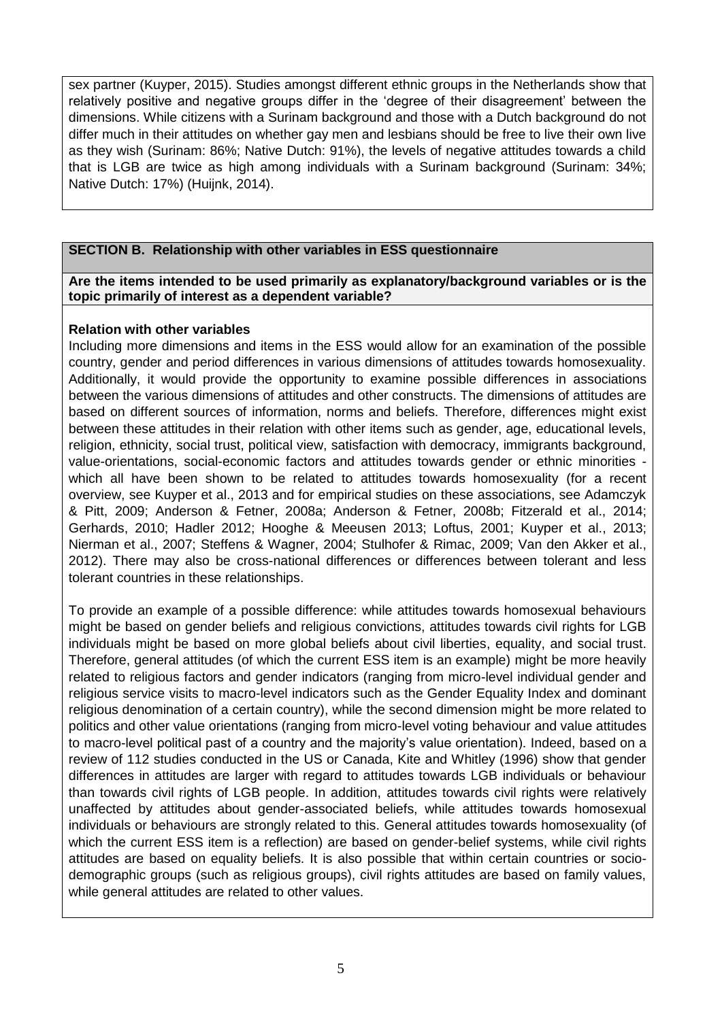sex partner (Kuyper, 2015). Studies amongst different ethnic groups in the Netherlands show that relatively positive and negative groups differ in the 'degree of their disagreement' between the dimensions. While citizens with a Surinam background and those with a Dutch background do not differ much in their attitudes on whether gay men and lesbians should be free to live their own live as they wish (Surinam: 86%; Native Dutch: 91%), the levels of negative attitudes towards a child that is LGB are twice as high among individuals with a Surinam background (Surinam: 34%; Native Dutch: 17%) (Huijnk, 2014).

### **SECTION B. Relationship with other variables in ESS questionnaire**

#### **Are the items intended to be used primarily as explanatory/background variables or is the topic primarily of interest as a dependent variable?**

### **Relation with other variables**

Including more dimensions and items in the ESS would allow for an examination of the possible country, gender and period differences in various dimensions of attitudes towards homosexuality. Additionally, it would provide the opportunity to examine possible differences in associations between the various dimensions of attitudes and other constructs. The dimensions of attitudes are based on different sources of information, norms and beliefs. Therefore, differences might exist between these attitudes in their relation with other items such as gender, age, educational levels, religion, ethnicity, social trust, political view, satisfaction with democracy, immigrants background, value-orientations, social-economic factors and attitudes towards gender or ethnic minorities which all have been shown to be related to attitudes towards homosexuality (for a recent overview, see Kuyper et al., 2013 and for empirical studies on these associations, see Adamczyk & Pitt, 2009; Anderson & Fetner, 2008a; Anderson & Fetner, 2008b; Fitzerald et al., 2014; Gerhards, 2010; Hadler 2012; Hooghe & Meeusen 2013; Loftus, 2001; Kuyper et al., 2013; Nierman et al., 2007; Steffens & Wagner, 2004; Stulhofer & Rimac, 2009; Van den Akker et al., 2012). There may also be cross-national differences or differences between tolerant and less tolerant countries in these relationships.

To provide an example of a possible difference: while attitudes towards homosexual behaviours might be based on gender beliefs and religious convictions, attitudes towards civil rights for LGB individuals might be based on more global beliefs about civil liberties, equality, and social trust. Therefore, general attitudes (of which the current ESS item is an example) might be more heavily related to religious factors and gender indicators (ranging from micro-level individual gender and religious service visits to macro-level indicators such as the Gender Equality Index and dominant religious denomination of a certain country), while the second dimension might be more related to politics and other value orientations (ranging from micro-level voting behaviour and value attitudes to macro-level political past of a country and the majority's value orientation). Indeed, based on a review of 112 studies conducted in the US or Canada, Kite and Whitley (1996) show that gender differences in attitudes are larger with regard to attitudes towards LGB individuals or behaviour than towards civil rights of LGB people. In addition, attitudes towards civil rights were relatively unaffected by attitudes about gender-associated beliefs, while attitudes towards homosexual individuals or behaviours are strongly related to this. General attitudes towards homosexuality (of which the current ESS item is a reflection) are based on gender-belief systems, while civil rights attitudes are based on equality beliefs. It is also possible that within certain countries or sociodemographic groups (such as religious groups), civil rights attitudes are based on family values, while general attitudes are related to other values.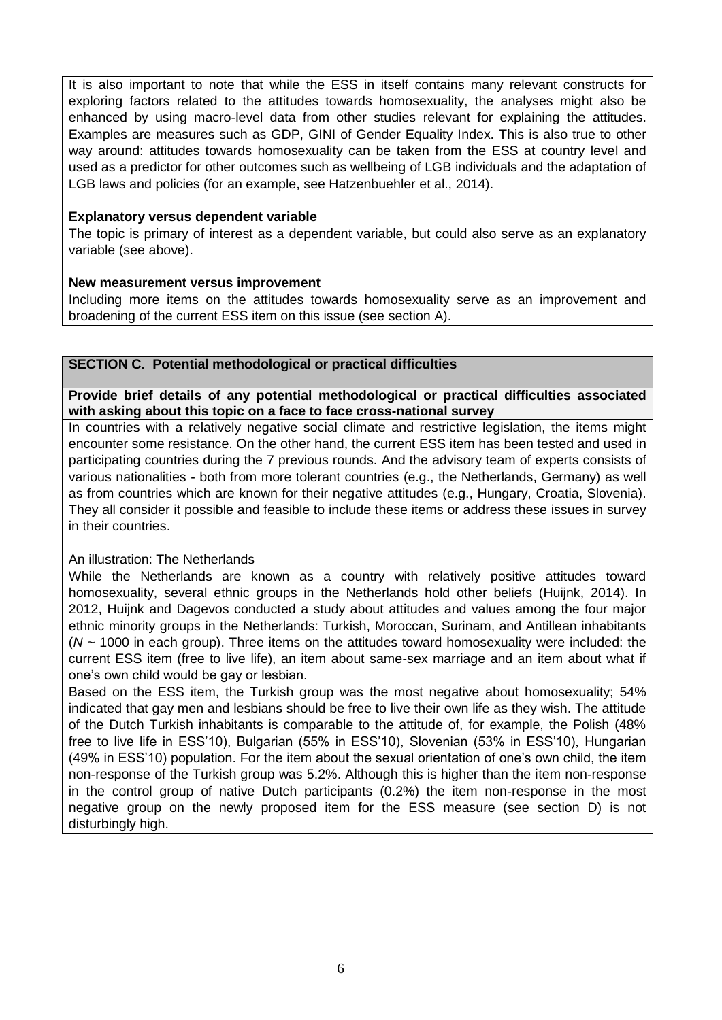It is also important to note that while the ESS in itself contains many relevant constructs for exploring factors related to the attitudes towards homosexuality, the analyses might also be enhanced by using macro-level data from other studies relevant for explaining the attitudes. Examples are measures such as GDP, GINI of Gender Equality Index. This is also true to other way around: attitudes towards homosexuality can be taken from the ESS at country level and used as a predictor for other outcomes such as wellbeing of LGB individuals and the adaptation of LGB laws and policies (for an example, see Hatzenbuehler et al., 2014).

### **Explanatory versus dependent variable**

The topic is primary of interest as a dependent variable, but could also serve as an explanatory variable (see above).

### **New measurement versus improvement**

Including more items on the attitudes towards homosexuality serve as an improvement and broadening of the current ESS item on this issue (see section A).

### **SECTION C. Potential methodological or practical difficulties**

**Provide brief details of any potential methodological or practical difficulties associated with asking about this topic on a face to face cross-national survey** 

In countries with a relatively negative social climate and restrictive legislation, the items might encounter some resistance. On the other hand, the current ESS item has been tested and used in participating countries during the 7 previous rounds. And the advisory team of experts consists of various nationalities - both from more tolerant countries (e.g., the Netherlands, Germany) as well as from countries which are known for their negative attitudes (e.g., Hungary, Croatia, Slovenia). They all consider it possible and feasible to include these items or address these issues in survey in their countries.

## An illustration: The Netherlands

While the Netherlands are known as a country with relatively positive attitudes toward homosexuality, several ethnic groups in the Netherlands hold other beliefs (Huijnk, 2014). In 2012, Huijnk and Dagevos conducted a study about attitudes and values among the four major ethnic minority groups in the Netherlands: Turkish, Moroccan, Surinam, and Antillean inhabitants (*N* ~ 1000 in each group). Three items on the attitudes toward homosexuality were included: the current ESS item (free to live life), an item about same-sex marriage and an item about what if one's own child would be gay or lesbian.

Based on the ESS item, the Turkish group was the most negative about homosexuality; 54% indicated that gay men and lesbians should be free to live their own life as they wish. The attitude of the Dutch Turkish inhabitants is comparable to the attitude of, for example, the Polish (48% free to live life in ESS'10), Bulgarian (55% in ESS'10), Slovenian (53% in ESS'10), Hungarian (49% in ESS'10) population. For the item about the sexual orientation of one's own child, the item non-response of the Turkish group was 5.2%. Although this is higher than the item non-response in the control group of native Dutch participants (0.2%) the item non-response in the most negative group on the newly proposed item for the ESS measure (see section D) is not disturbingly high.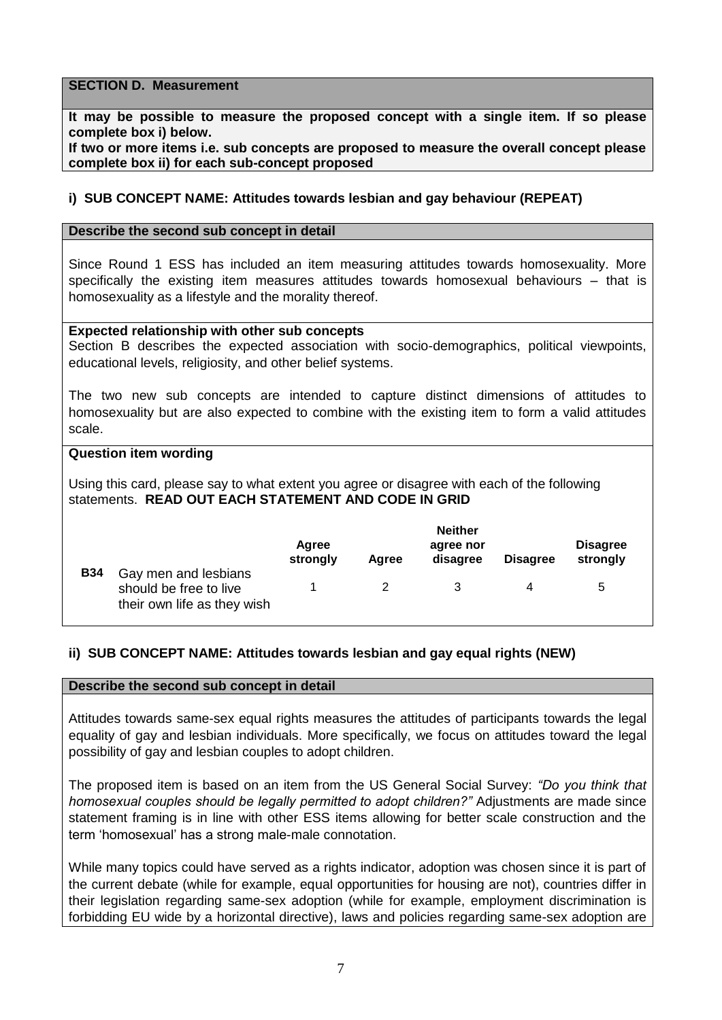### **SECTION D. Measurement**

**It may be possible to measure the proposed concept with a single item. If so please complete box i) below.** 

**If two or more items i.e. sub concepts are proposed to measure the overall concept please complete box ii) for each sub-concept proposed**

### **i) SUB CONCEPT NAME: Attitudes towards lesbian and gay behaviour (REPEAT)**

#### **Describe the second sub concept in detail**

Since Round 1 ESS has included an item measuring attitudes towards homosexuality. More specifically the existing item measures attitudes towards homosexual behaviours – that is homosexuality as a lifestyle and the morality thereof.

#### **Expected relationship with other sub concepts**

Section B describes the expected association with socio-demographics, political viewpoints, educational levels, religiosity, and other belief systems.

The two new sub concepts are intended to capture distinct dimensions of attitudes to homosexuality but are also expected to combine with the existing item to form a valid attitudes scale.

#### **Question item wording**

Using this card, please say to what extent you agree or disagree with each of the following statements. **READ OUT EACH STATEMENT AND CODE IN GRID**

|            |                                                                               | Agree<br>strongly | Aaree | <b>Neither</b><br>agree nor<br>disagree | <b>Disagree</b> | <b>Disagree</b><br>strongly |
|------------|-------------------------------------------------------------------------------|-------------------|-------|-----------------------------------------|-----------------|-----------------------------|
| <b>B34</b> | Gay men and lesbians<br>should be free to live<br>their own life as they wish |                   |       |                                         | 4               | $\mathbf b$                 |

### **ii) SUB CONCEPT NAME: Attitudes towards lesbian and gay equal rights (NEW)**

#### **Describe the second sub concept in detail**

Attitudes towards same-sex equal rights measures the attitudes of participants towards the legal equality of gay and lesbian individuals. More specifically, we focus on attitudes toward the legal possibility of gay and lesbian couples to adopt children.

The proposed item is based on an item from the US General Social Survey: *"Do you think that homosexual couples should be legally permitted to adopt children?"* Adjustments are made since statement framing is in line with other ESS items allowing for better scale construction and the term 'homosexual' has a strong male-male connotation.

While many topics could have served as a rights indicator, adoption was chosen since it is part of the current debate (while for example, equal opportunities for housing are not), countries differ in their legislation regarding same-sex adoption (while for example, employment discrimination is forbidding EU wide by a horizontal directive), laws and policies regarding same-sex adoption are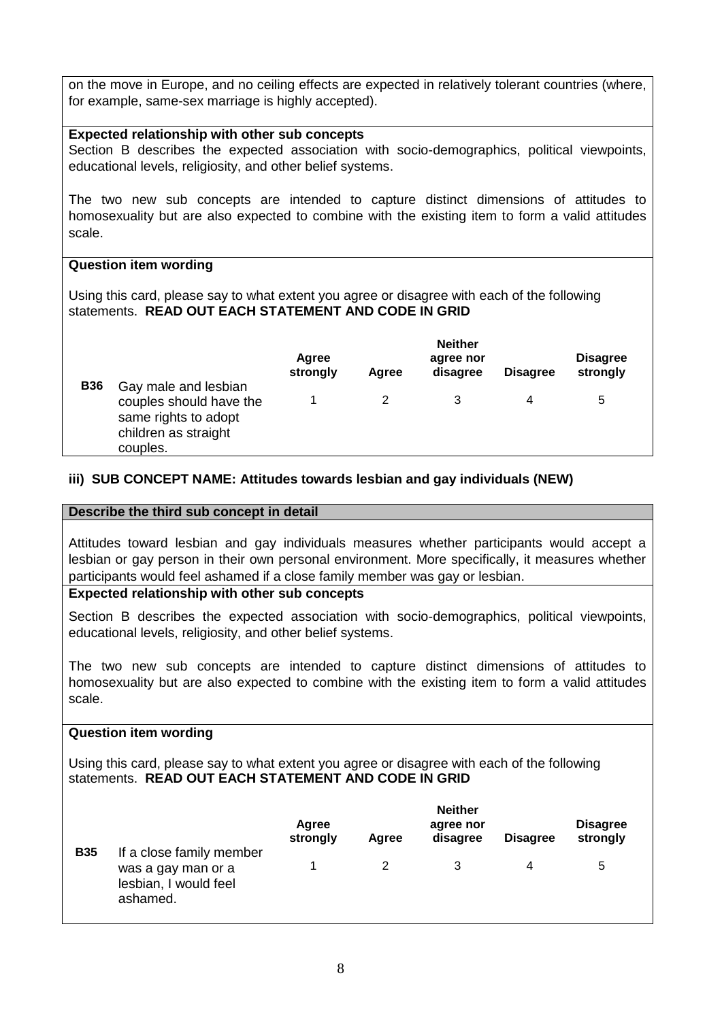on the move in Europe, and no ceiling effects are expected in relatively tolerant countries (where, for example, same-sex marriage is highly accepted).

### **Expected relationship with other sub concepts**

Section B describes the expected association with socio-demographics, political viewpoints, educational levels, religiosity, and other belief systems.

The two new sub concepts are intended to capture distinct dimensions of attitudes to homosexuality but are also expected to combine with the existing item to form a valid attitudes scale.

### **Question item wording**

Using this card, please say to what extent you agree or disagree with each of the following statements. **READ OUT EACH STATEMENT AND CODE IN GRID**

|            |                                                                                                             | Agree<br>strongly | Agree | <b>Neither</b><br>agree nor<br>disagree | <b>Disagree</b> | <b>Disagree</b><br>strongly |  |
|------------|-------------------------------------------------------------------------------------------------------------|-------------------|-------|-----------------------------------------|-----------------|-----------------------------|--|
| <b>B36</b> | Gay male and lesbian<br>couples should have the<br>same rights to adopt<br>children as straight<br>couples. |                   |       |                                         | 4               | 5                           |  |

## **iii) SUB CONCEPT NAME: Attitudes towards lesbian and gay individuals (NEW)**

### **Describe the third sub concept in detail**

Attitudes toward lesbian and gay individuals measures whether participants would accept a lesbian or gay person in their own personal environment. More specifically, it measures whether participants would feel ashamed if a close family member was gay or lesbian.

### **Expected relationship with other sub concepts**

Section B describes the expected association with socio-demographics, political viewpoints, educational levels, religiosity, and other belief systems.

The two new sub concepts are intended to capture distinct dimensions of attitudes to homosexuality but are also expected to combine with the existing item to form a valid attitudes scale.

### **Question item wording**

Using this card, please say to what extent you agree or disagree with each of the following statements. **READ OUT EACH STATEMENT AND CODE IN GRID**

|            |                                                                                     | Agree<br>strongly | Agree | <b>Neither</b><br>agree nor<br>disagree | <b>Disagree</b> | <b>Disagree</b><br>strongly |
|------------|-------------------------------------------------------------------------------------|-------------------|-------|-----------------------------------------|-----------------|-----------------------------|
| <b>B35</b> | If a close family member<br>was a gay man or a<br>lesbian, I would feel<br>ashamed. |                   |       |                                         | 4               | $\mathbf b$                 |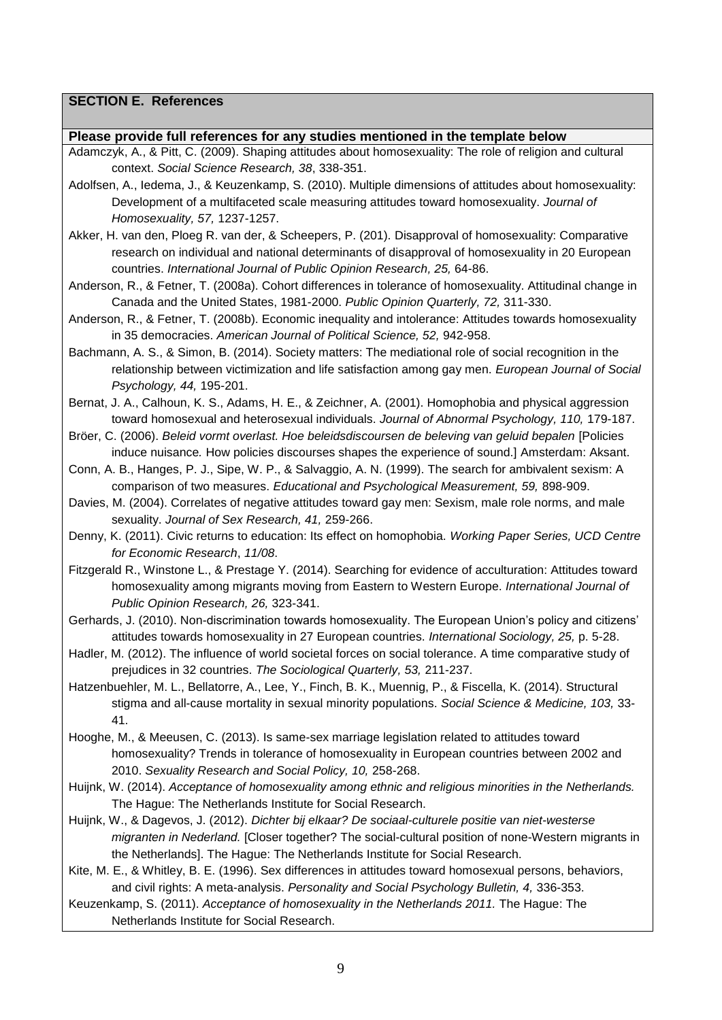## **SECTION E. References**

#### **Please provide full references for any studies mentioned in the template below**

- Adamczyk, A., & Pitt, C. (2009). Shaping attitudes about homosexuality: The role of religion and cultural context. *Social Science Research, 38*, 338-351.
- Adolfsen, A., Iedema, J., & Keuzenkamp, S. (2010). Multiple dimensions of attitudes about homosexuality: Development of a multifaceted scale measuring attitudes toward homosexuality. *Journal of Homosexuality, 57,* 1237-1257.
- Akker, H. van den, Ploeg R. van der, & Scheepers, P. (201). Disapproval of homosexuality: Comparative research on individual and national determinants of disapproval of homosexuality in 20 European countries. *International Journal of Public Opinion Research, 25,* 64-86.
- Anderson, R., & Fetner, T. (2008a). Cohort differences in tolerance of homosexuality. Attitudinal change in Canada and the United States, 1981-2000. *Public Opinion Quarterly, 72,* 311-330.
- Anderson, R., & Fetner, T. (2008b). Economic inequality and intolerance: Attitudes towards homosexuality in 35 democracies. *American Journal of Political Science, 52,* 942-958.
- Bachmann, A. S., & Simon, B. (2014). Society matters: The mediational role of social recognition in the relationship between victimization and life satisfaction among gay men. *European Journal of Social Psychology, 44,* 195-201.
- Bernat, J. A., Calhoun, K. S., Adams, H. E., & Zeichner, A. (2001). Homophobia and physical aggression toward homosexual and heterosexual individuals. *Journal of Abnormal Psychology, 110,* 179-187.
- Bröer, C. (2006). *Beleid vormt overlast. Hoe beleidsdiscoursen de beleving van geluid bepalen* [Policies induce nuisance*.* How policies discourses shapes the experience of sound.] Amsterdam: Aksant.
- Conn, A. B., Hanges, P. J., Sipe, W. P., & Salvaggio, A. N. (1999). The search for ambivalent sexism: A comparison of two measures. *Educational and Psychological Measurement, 59,* 898-909.
- Davies, M. (2004). Correlates of negative attitudes toward gay men: Sexism, male role norms, and male sexuality. *Journal of Sex Research, 41,* 259-266.
- Denny, K. (2011). Civic returns to education: Its effect on homophobia. *Working Paper Series, UCD Centre for Economic Research*, *11/08*.
- Fitzgerald R., Winstone L., & Prestage Y. (2014). Searching for evidence of acculturation: Attitudes toward homosexuality among migrants moving from Eastern to Western Europe. *International Journal of Public Opinion Research, 26,* 323-341.

Gerhards, J. (2010). Non-discrimination towards homosexuality. The European Union's policy and citizens' attitudes towards homosexuality in 27 European countries. *International Sociology, 25,* p. 5-28.

- Hadler, M. (2012). The influence of world societal forces on social tolerance. A time comparative study of prejudices in 32 countries. *The Sociological Quarterly, 53,* 211-237.
- Hatzenbuehler, M. L., Bellatorre, A., Lee, Y., Finch, B. K., Muennig, P., & Fiscella, K. (2014). Structural stigma and all-cause mortality in sexual minority populations. *Social Science & Medicine, 103,* 33- 41.
- Hooghe, M., & Meeusen, C. (2013). Is same-sex marriage legislation related to attitudes toward homosexuality? Trends in tolerance of homosexuality in European countries between 2002 and 2010. *Sexuality Research and Social Policy, 10,* 258-268.
- Huijnk, W. (2014). *Acceptance of homosexuality among ethnic and religious minorities in the Netherlands.* The Hague: The Netherlands Institute for Social Research.
- Huijnk, W., & Dagevos, J. (2012). *Dichter bij elkaar? De sociaal-culturele positie van niet-westerse migranten in Nederland.* [Closer together? The social-cultural position of none-Western migrants in the Netherlands]. The Hague: The Netherlands Institute for Social Research.
- Kite, M. E., & Whitley, B. E. (1996). Sex differences in attitudes toward homosexual persons, behaviors, and civil rights: A meta-analysis. *Personality and Social Psychology Bulletin, 4,* 336-353.
- Keuzenkamp, S. (2011). *Acceptance of homosexuality in the Netherlands 2011.* The Hague: The Netherlands Institute for Social Research.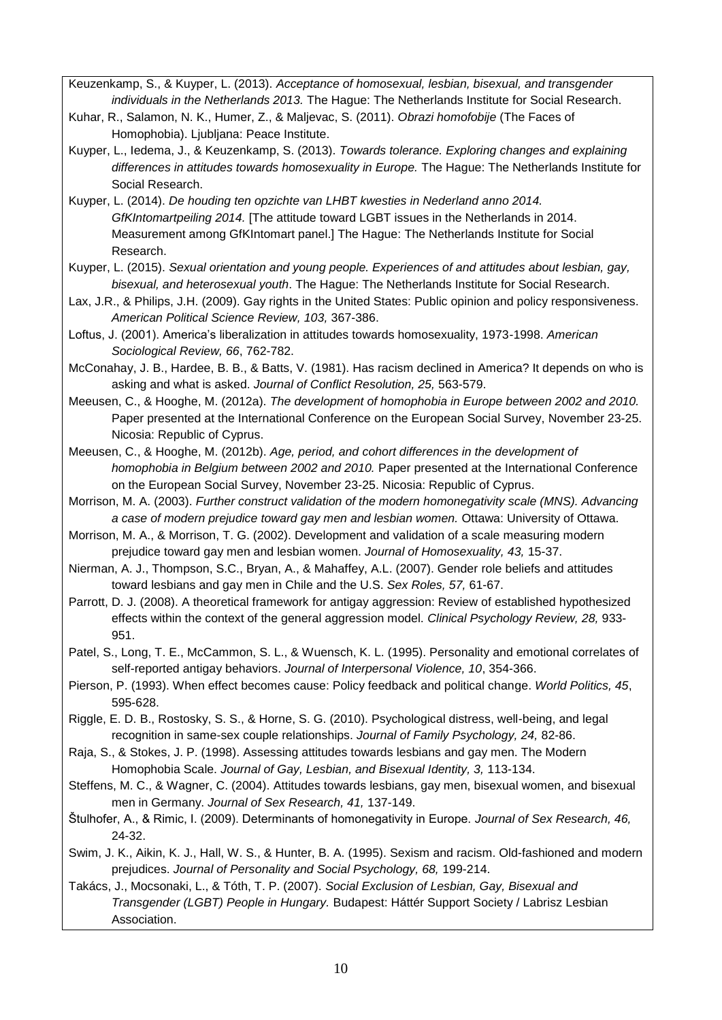- Keuzenkamp, S., & Kuyper, L. (2013). *Acceptance of homosexual, lesbian, bisexual, and transgender individuals in the Netherlands 2013.* The Hague: The Netherlands Institute for Social Research.
- Kuhar, R., Salamon, N. K., Humer, Z., & Maljevac, S. (2011). *Obrazi homofobije* (The Faces of Homophobia). Ljubljana: Peace Institute.
- Kuyper, L., Iedema, J., & Keuzenkamp, S. (2013). *Towards tolerance. Exploring changes and explaining differences in attitudes towards homosexuality in Europe.* The Hague: The Netherlands Institute for Social Research.
- Kuyper, L. (2014). *De houding ten opzichte van LHBT kwesties in Nederland anno 2014. GfKIntomartpeiling 2014.* [The attitude toward LGBT issues in the Netherlands in 2014. Measurement among GfKIntomart panel.] The Hague: The Netherlands Institute for Social Research.
- Kuyper, L. (2015). *Sexual orientation and young people. Experiences of and attitudes about lesbian, gay, bisexual, and heterosexual youth*. The Hague: The Netherlands Institute for Social Research.
- Lax, J.R., & Philips, J.H. (2009). Gay rights in the United States: Public opinion and policy responsiveness. *American Political Science Review, 103,* 367-386.
- Loftus, J. (2001). America's liberalization in attitudes towards homosexuality, 1973-1998. *American Sociological Review, 66*, 762-782.
- McConahay, J. B., Hardee, B. B., & Batts, V. (1981). Has racism declined in America? It depends on who is asking and what is asked. *Journal of Conflict Resolution, 25,* 563-579.
- Meeusen, C., & Hooghe, M. (2012a). *The development of homophobia in Europe between 2002 and 2010.* Paper presented at the International Conference on the European Social Survey, November 23-25. Nicosia: Republic of Cyprus.
- Meeusen, C., & Hooghe, M. (2012b). *Age, period, and cohort differences in the development of homophobia in Belgium between 2002 and 2010.* Paper presented at the International Conference on the European Social Survey, November 23-25. Nicosia: Republic of Cyprus.
- Morrison, M. A. (2003). *Further construct validation of the modern homonegativity scale (MNS). Advancing a case of modern prejudice toward gay men and lesbian women.* Ottawa: University of Ottawa.
- Morrison, M. A., & Morrison, T. G. (2002). Development and validation of a scale measuring modern prejudice toward gay men and lesbian women. *Journal of Homosexuality, 43,* 15-37.
- Nierman, A. J., Thompson, S.C., Bryan, A., & Mahaffey, A.L. (2007). Gender role beliefs and attitudes toward lesbians and gay men in Chile and the U.S. *Sex Roles, 57,* 61-67.
- Parrott, D. J. (2008). A theoretical framework for antigay aggression: Review of established hypothesized effects within the context of the general aggression model. *Clinical Psychology Review, 28,* 933- 951.
- Patel, S., Long, T. E., McCammon, S. L., & Wuensch, K. L. (1995). Personality and emotional correlates of self-reported antigay behaviors. *Journal of Interpersonal Violence, 10*, 354-366.
- Pierson, P. (1993). When effect becomes cause: Policy feedback and political change. *World Politics, 45*, 595-628.
- Riggle, E. D. B., Rostosky, S. S., & Horne, S. G. (2010). Psychological distress, well-being, and legal recognition in same-sex couple relationships. *Journal of Family Psychology, 24,* 82-86.
- Raja, S., & Stokes, J. P. (1998). Assessing attitudes towards lesbians and gay men. The Modern Homophobia Scale. *Journal of Gay, Lesbian, and Bisexual Identity, 3,* 113-134.
- Steffens, M. C., & Wagner, C. (2004). Attitudes towards lesbians, gay men, bisexual women, and bisexual men in Germany. *Journal of Sex Research, 41,* 137-149.
- Štulhofer, A., & Rimic, I. (2009). Determinants of homonegativity in Europe. *Journal of Sex Research, 46,* 24-32.
- Swim, J. K., Aikin, K. J., Hall, W. S., & Hunter, B. A. (1995). Sexism and racism. Old-fashioned and modern prejudices. *Journal of Personality and Social Psychology, 68,* 199-214.
- Takács, J., Mocsonaki, L., & Tóth, T. P. (2007). *Social Exclusion of Lesbian, Gay, Bisexual and Transgender (LGBT) People in Hungary.* Budapest: Háttér Support Society / Labrisz Lesbian Association.